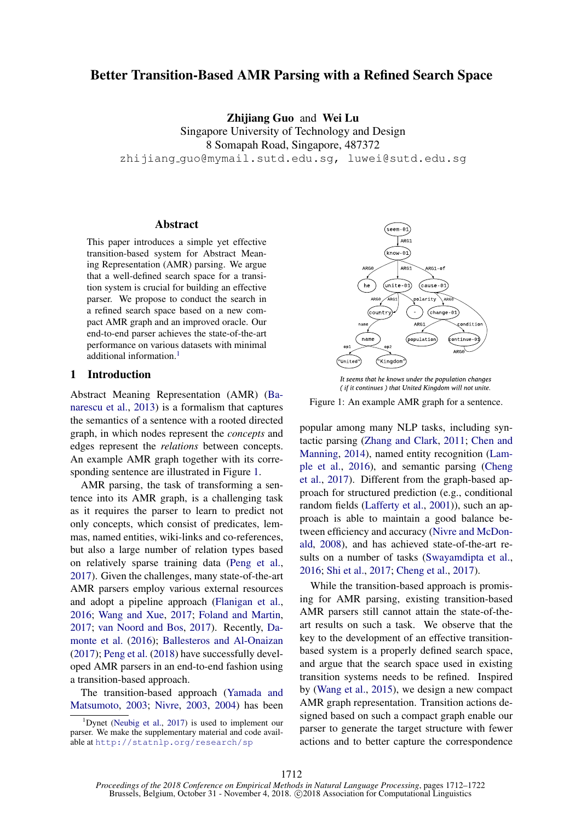# Better Transition-Based AMR Parsing with a Refined Search Space

Zhijiang Guo and Wei Lu

Singapore University of Technology and Design 8 Somapah Road, Singapore, 487372 zhijiang guo@mymail.sutd.edu.sg, luwei@sutd.edu.sg

#### Abstract

This paper introduces a simple yet effective transition-based system for Abstract Meaning Representation (AMR) parsing. We argue that a well-defined search space for a transition system is crucial for building an effective parser. We propose to conduct the search in a refined search space based on a new compact AMR graph and an improved oracle. Our end-to-end parser achieves the state-of-the-art performance on various datasets with minimal additional information.<sup>1</sup>

## 1 Introduction

Abstract Meaning Representation (AMR) [\(Ba](#page-9-0)[narescu et al.,](#page-9-0) [2013\)](#page-9-0) is a formalism that captures the semantics of a sentence with a rooted directed graph, in which nodes represent the *concepts* and edges represent the *relations* between concepts. An example AMR graph together with its corresponding sentence are illustrated in Figure [1.](#page-0-1)

AMR parsing, the task of transforming a sentence into its AMR graph, is a challenging task as it requires the parser to learn to predict not only concepts, which consist of predicates, lemmas, named entities, wiki-links and co-references, but also a large number of relation types based on relatively sparse training data [\(Peng et al.,](#page-10-0) [2017\)](#page-10-0). Given the challenges, many state-of-the-art AMR parsers employ various external resources and adopt a pipeline approach [\(Flanigan et al.,](#page-9-1) [2016;](#page-9-1) [Wang and Xue,](#page-10-1) [2017;](#page-10-1) [Foland and Martin,](#page-9-2) [2017;](#page-9-2) [van Noord and Bos,](#page-10-2) [2017\)](#page-10-2). Recently, [Da](#page-9-3)[monte et al.](#page-9-3) [\(2016\)](#page-9-3); [Ballesteros and Al-Onaizan](#page-9-4) [\(2017\)](#page-9-4); [Peng et al.](#page-10-3) [\(2018\)](#page-10-3) have successfully developed AMR parsers in an end-to-end fashion using a transition-based approach.

The transition-based approach [\(Yamada and](#page-10-4) [Matsumoto,](#page-10-4) [2003;](#page-10-4) [Nivre,](#page-10-5) [2003,](#page-10-5) [2004\)](#page-10-6) has been



It seems that he knows under the population changes **( if it continues) that UnitedKingdomwill not unite.**

<span id="page-0-1"></span>Figure 1: An example AMR graph for a sentence.

popular among many NLP tasks, including syntactic parsing [\(Zhang and Clark,](#page-10-8) [2011;](#page-10-8) [Chen and](#page-9-5) [Manning,](#page-9-5) [2014\)](#page-9-5), named entity recognition [\(Lam](#page-9-6)[ple et al.,](#page-9-6) [2016\)](#page-9-6), and semantic parsing [\(Cheng](#page-9-7) [et al.,](#page-9-7) [2017\)](#page-9-7). Different from the graph-based approach for structured prediction (e.g., conditional random fields [\(Lafferty et al.,](#page-9-8) [2001\)](#page-9-8)), such an approach is able to maintain a good balance between efficiency and accuracy [\(Nivre and McDon](#page-10-9)[ald,](#page-10-9) [2008\)](#page-10-9), and has achieved state-of-the-art results on a number of tasks [\(Swayamdipta et al.,](#page-10-10) [2016;](#page-10-10) [Shi et al.,](#page-10-11) [2017;](#page-10-11) [Cheng et al.,](#page-9-7) [2017\)](#page-9-7).

While the transition-based approach is promising for AMR parsing, existing transition-based AMR parsers still cannot attain the state-of-theart results on such a task. We observe that the key to the development of an effective transitionbased system is a properly defined search space, and argue that the search space used in existing transition systems needs to be refined. Inspired by [\(Wang et al.,](#page-10-12) [2015\)](#page-10-12), we design a new compact AMR graph representation. Transition actions designed based on such a compact graph enable our parser to generate the target structure with fewer actions and to better capture the correspondence

<span id="page-0-0"></span><sup>&</sup>lt;sup>1</sup>Dynet [\(Neubig et al.,](#page-10-7) [2017\)](#page-10-7) is used to implement our parser. We make the supplementary material and code available at <http://statnlp.org/research/sp>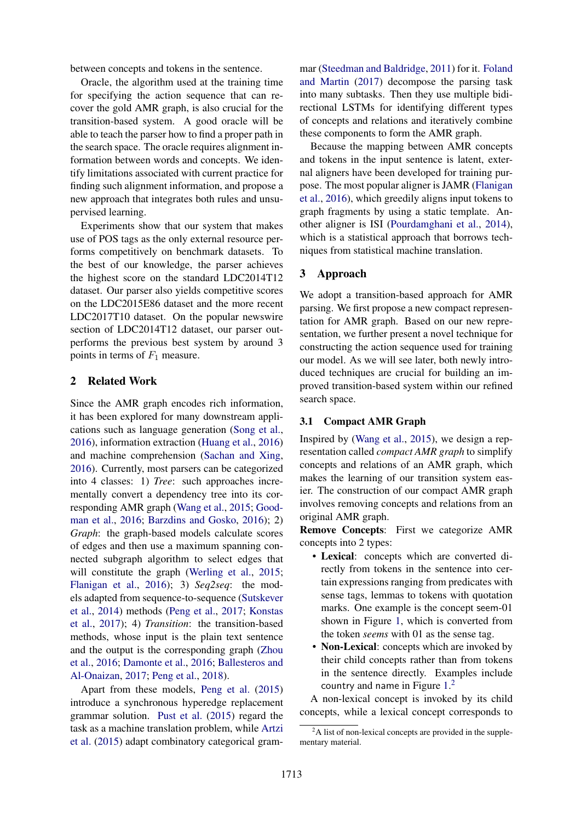between concepts and tokens in the sentence.

Oracle, the algorithm used at the training time for specifying the action sequence that can recover the gold AMR graph, is also crucial for the transition-based system. A good oracle will be able to teach the parser how to find a proper path in the search space. The oracle requires alignment information between words and concepts. We identify limitations associated with current practice for finding such alignment information, and propose a new approach that integrates both rules and unsupervised learning.

Experiments show that our system that makes use of POS tags as the only external resource performs competitively on benchmark datasets. To the best of our knowledge, the parser achieves the highest score on the standard LDC2014T12 dataset. Our parser also yields competitive scores on the LDC2015E86 dataset and the more recent LDC2017T10 dataset. On the popular newswire section of LDC2014T12 dataset, our parser outperforms the previous best system by around 3 points in terms of *F*<sup>1</sup> measure.

## <span id="page-1-1"></span>2 Related Work

Since the AMR graph encodes rich information, it has been explored for many downstream applications such as language generation [\(Song et al.,](#page-10-13) [2016\)](#page-10-13), information extraction [\(Huang et al.,](#page-9-9) [2016\)](#page-9-9) and machine comprehension [\(Sachan and Xing,](#page-10-14) [2016\)](#page-10-14). Currently, most parsers can be categorized into 4 classes: 1) *Tree*: such approaches incrementally convert a dependency tree into its corresponding AMR graph [\(Wang et al.,](#page-10-12) [2015;](#page-10-12) [Good](#page-9-10)[man et al.,](#page-9-10) [2016;](#page-9-10) [Barzdins and Gosko,](#page-9-11) [2016\)](#page-9-11); 2) *Graph*: the graph-based models calculate scores of edges and then use a maximum spanning connected subgraph algorithm to select edges that will constitute the graph [\(Werling et al.,](#page-10-15) [2015;](#page-10-15) [Flanigan et al.,](#page-9-1) [2016\)](#page-9-1); 3) *Seq2seq*: the models adapted from sequence-to-sequence [\(Sutskever](#page-10-16) [et al.,](#page-10-16) [2014\)](#page-10-16) methods [\(Peng et al.,](#page-10-0) [2017;](#page-10-0) [Konstas](#page-9-12) [et al.,](#page-9-12) [2017\)](#page-9-12); 4) *Transition*: the transition-based methods, whose input is the plain text sentence and the output is the corresponding graph [\(Zhou](#page-10-17) [et al.,](#page-10-17) [2016;](#page-10-17) [Damonte et al.,](#page-9-3) [2016;](#page-9-3) [Ballesteros and](#page-9-4) [Al-Onaizan,](#page-9-4) [2017;](#page-9-4) [Peng et al.,](#page-10-3) [2018\)](#page-10-3).

Apart from these models, [Peng et al.](#page-10-18) [\(2015\)](#page-10-18) introduce a synchronous hyperedge replacement grammar solution. [Pust et al.](#page-10-19) [\(2015\)](#page-10-19) regard the task as a machine translation problem, while [Artzi](#page-9-13) [et al.](#page-9-13) [\(2015\)](#page-9-13) adapt combinatory categorical gram-

mar [\(Steedman and Baldridge,](#page-10-20) [2011\)](#page-10-20) for it. [Foland](#page-9-2) [and Martin](#page-9-2) [\(2017\)](#page-9-2) decompose the parsing task into many subtasks. Then they use multiple bidirectional LSTMs for identifying different types of concepts and relations and iteratively combine these components to form the AMR graph.

Because the mapping between AMR concepts and tokens in the input sentence is latent, external aligners have been developed for training purpose. The most popular aligner is JAMR [\(Flanigan](#page-9-1) [et al.,](#page-9-1) [2016\)](#page-9-1), which greedily aligns input tokens to graph fragments by using a static template. Another aligner is ISI [\(Pourdamghani et al.,](#page-10-21) [2014\)](#page-10-21), which is a statistical approach that borrows techniques from statistical machine translation.

## 3 Approach

We adopt a transition-based approach for AMR parsing. We first propose a new compact representation for AMR graph. Based on our new representation, we further present a novel technique for constructing the action sequence used for training our model. As we will see later, both newly introduced techniques are crucial for building an improved transition-based system within our refined search space.

### 3.1 Compact AMR Graph

Inspired by [\(Wang et al.,](#page-10-12) [2015\)](#page-10-12), we design a representation called *compact AMR graph* to simplify concepts and relations of an AMR graph, which makes the learning of our transition system easier. The construction of our compact AMR graph involves removing concepts and relations from an original AMR graph.

Remove Concepts: First we categorize AMR concepts into 2 types:

- Lexical: concepts which are converted directly from tokens in the sentence into certain expressions ranging from predicates with sense tags, lemmas to tokens with quotation marks. One example is the concept seem-01 shown in Figure [1,](#page-0-1) which is converted from the token *seems* with 01 as the sense tag.
- Non-Lexical: concepts which are invoked by their child concepts rather than from tokens in the sentence directly. Examples include country and name in Figure [1.](#page-0-1) [2](#page-1-0)

A non-lexical concept is invoked by its child concepts, while a lexical concept corresponds to

<span id="page-1-0"></span><sup>&</sup>lt;sup>2</sup>A list of non-lexical concepts are provided in the supplementary material.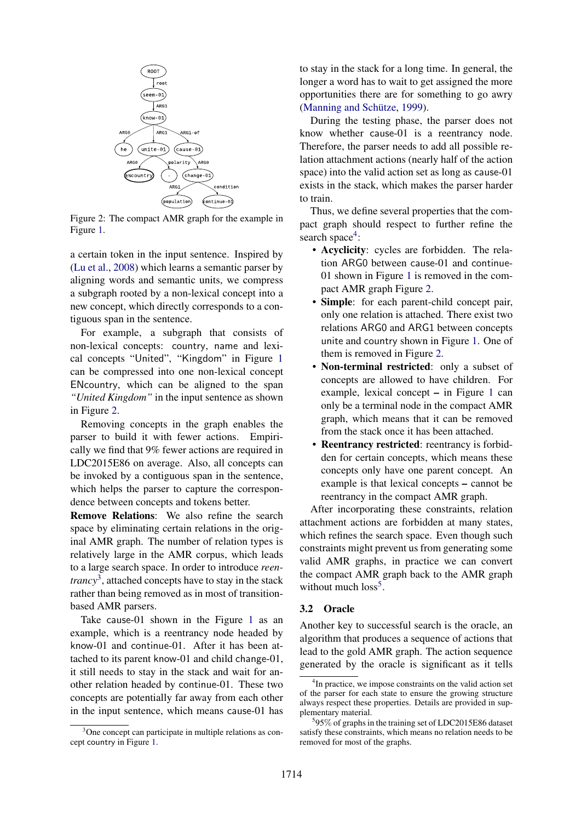

Figure 2: The compact AMR graph for the example in Figure [1.](#page-0-1)

a certain token in the input sentence. Inspired by [\(Lu et al.,](#page-9-14) [2008\)](#page-9-14) which learns a semantic parser by aligning words and semantic units, we compress a subgraph rooted by a non-lexical concept into a new concept, which directly corresponds to a contiguous span in the sentence.

For example, a subgraph that consists of non-lexical concepts: country, name and lexical concepts "United", "Kingdom" in Figure [1](#page-0-1) can be compressed into one non-lexical concept ENcountry, which can be aligned to the span *"United Kingdom"* in the input sentence as shown in Figure [2.](#page-2-0)

Removing concepts in the graph enables the parser to build it with fewer actions. Empirically we find that 9% fewer actions are required in LDC2015E86 on average. Also, all concepts can be invoked by a contiguous span in the sentence, which helps the parser to capture the correspondence between concepts and tokens better.

Remove Relations: We also refine the search space by eliminating certain relations in the original AMR graph. The number of relation types is relatively large in the AMR corpus, which leads to a large search space. In order to introduce *reentrancy*<sup>3</sup>, attached concepts have to stay in the stack rather than being removed as in most of transitionbased AMR parsers.

Take cause-01 shown in the Figure [1](#page-0-1) as an example, which is a reentrancy node headed by know-01 and continue-01. After it has been attached to its parent know-01 and child change-01, it still needs to stay in the stack and wait for another relation headed by continue-01. These two concepts are potentially far away from each other in the input sentence, which means cause-01 has to stay in the stack for a long time. In general, the longer a word has to wait to get assigned the more opportunities there are for something to go awry (Manning and Schütze, [1999\)](#page-10-22).

During the testing phase, the parser does not know whether cause-01 is a reentrancy node. Therefore, the parser needs to add all possible relation attachment actions (nearly half of the action space) into the valid action set as long as cause-01 exists in the stack, which makes the parser harder to train.

<span id="page-2-0"></span>Thus, we define several properties that the compact graph should respect to further refine the search space<sup>4</sup>:

- Acyclicity: cycles are forbidden. The relation ARG0 between cause-01 and continue-01 shown in Figure [1](#page-0-1) is removed in the compact AMR graph Figure [2.](#page-2-0)
- Simple: for each parent-child concept pair, only one relation is attached. There exist two relations ARG0 and ARG1 between concepts unite and country shown in Figure [1.](#page-0-1) One of them is removed in Figure [2.](#page-2-0)
- Non-terminal restricted: only a subset of concepts are allowed to have children. For example, lexical concept *–* in Figure [1](#page-0-1) can only be a terminal node in the compact AMR graph, which means that it can be removed from the stack once it has been attached.
- Reentrancy restricted: reentrancy is forbidden for certain concepts, which means these concepts only have one parent concept. An example is that lexical concepts *–* cannot be reentrancy in the compact AMR graph.

After incorporating these constraints, relation attachment actions are forbidden at many states, which refines the search space. Even though such constraints might prevent us from generating some valid AMR graphs, in practice we can convert the compact AMR graph back to the AMR graph without much  $loss<sup>5</sup>$ .

## 3.2 Oracle

Another key to successful search is the oracle, an algorithm that produces a sequence of actions that lead to the gold AMR graph. The action sequence generated by the oracle is significant as it tells

<span id="page-2-1"></span><sup>&</sup>lt;sup>3</sup>One concept can participate in multiple relations as concept country in Figure [1.](#page-0-1)

<span id="page-2-2"></span><sup>&</sup>lt;sup>4</sup>In practice, we impose constraints on the valid action set of the parser for each state to ensure the growing structure always respect these properties. Details are provided in supplementary material.

<span id="page-2-3"></span><sup>5</sup> 95% of graphs in the training set of LDC2015E86 dataset satisfy these constraints, which means no relation needs to be removed for most of the graphs.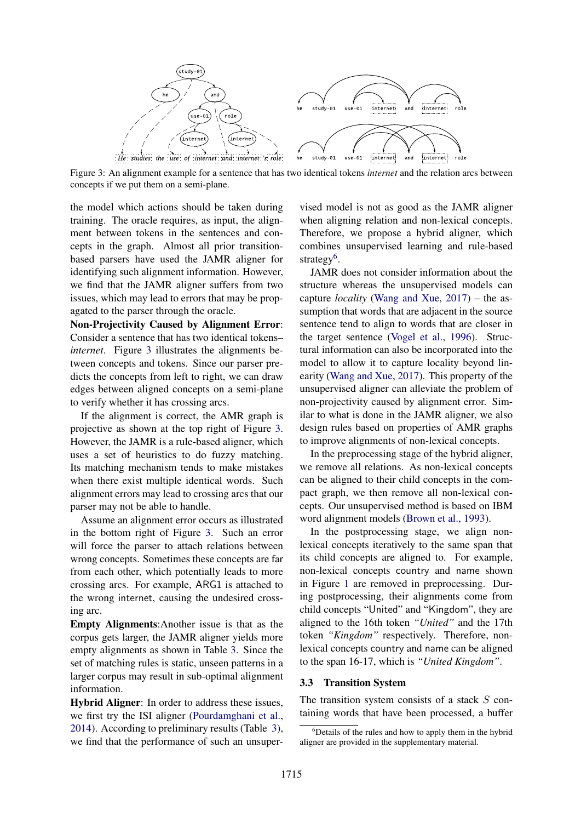

Figure 3: An alignment example for a sentence that has two identical tokens *internet* and the relation arcs between concepts if we put them on a semi-plane.

the model which actions should be taken during training. The oracle requires, as input, the alignment between tokens in the sentences and concepts in the graph. Almost all prior transitionbased parsers have used the JAMR aligner for identifying such alignment information. However, we find that the JAMR aligner suffers from two issues, which may lead to errors that may be propagated to the parser through the oracle.

Non-Projectivity Caused by Alignment Error: Consider a sentence that has two identical tokens– *internet*. Figure [3](#page-3-0) illustrates the alignments between concepts and tokens. Since our parser predicts the concepts from left to right, we can draw edges between aligned concepts on a semi-plane to verify whether it has crossing arcs.

If the alignment is correct, the AMR graph is projective as shown at the top right of Figure [3.](#page-3-0) However, the JAMR is a rule-based aligner, which uses a set of heuristics to do fuzzy matching. Its matching mechanism tends to make mistakes when there exist multiple identical words. Such alignment errors may lead to crossing arcs that our parser may not be able to handle.

Assume an alignment error occurs as illustrated in the bottom right of Figure [3.](#page-3-0) Such an error will force the parser to attach relations between wrong concepts. Sometimes these concepts are far from each other, which potentially leads to more crossing arcs. For example, ARG1 is attached to the wrong internet, causing the undesired crossing arc.

Empty Alignments:Another issue is that as the corpus gets larger, the JAMR aligner yields more empty alignments as shown in Table [3.](#page-6-0) Since the set of matching rules is static, unseen patterns in a larger corpus may result in sub-optimal alignment information.

Hybrid Aligner: In order to address these issues, we first try the ISI aligner [\(Pourdamghani et al.,](#page-10-21) [2014\)](#page-10-21). According to preliminary results (Table [3\)](#page-6-0), we find that the performance of such an unsuper-

<span id="page-3-0"></span>vised model is not as good as the JAMR aligner when aligning relation and non-lexical concepts. Therefore, we propose a hybrid aligner, which combines unsupervised learning and rule-based strategy<sup>6</sup>.

JAMR does not consider information about the structure whereas the unsupervised models can capture *locality* [\(Wang and Xue,](#page-10-1) [2017\)](#page-10-1) – the assumption that words that are adjacent in the source sentence tend to align to words that are closer in the target sentence [\(Vogel et al.,](#page-10-23) [1996\)](#page-10-23). Structural information can also be incorporated into the model to allow it to capture locality beyond linearity [\(Wang and Xue,](#page-10-1) [2017\)](#page-10-1). This property of the unsupervised aligner can alleviate the problem of non-projectivity caused by alignment error. Similar to what is done in the JAMR aligner, we also design rules based on properties of AMR graphs to improve alignments of non-lexical concepts.

In the preprocessing stage of the hybrid aligner, we remove all relations. As non-lexical concepts can be aligned to their child concepts in the compact graph, we then remove all non-lexical concepts. Our unsupervised method is based on IBM word alignment models [\(Brown et al.,](#page-9-15) [1993\)](#page-9-15).

In the postprocessing stage, we align nonlexical concepts iteratively to the same span that its child concepts are aligned to. For example, non-lexical concepts country and name shown in Figure [1](#page-0-1) are removed in preprocessing. During postprocessing, their alignments come from child concepts "United" and "Kingdom", they are aligned to the 16th token *"United"* and the 17th token *"Kingdom"* respectively. Therefore, nonlexical concepts country and name can be aligned to the span 16-17, which is *"United Kingdom"*.

### 3.3 Transition System

The transition system consists of a stack *S* containing words that have been processed, a buffer

<span id="page-3-1"></span><sup>&</sup>lt;sup>6</sup>Details of the rules and how to apply them in the hybrid aligner are provided in the supplementary material.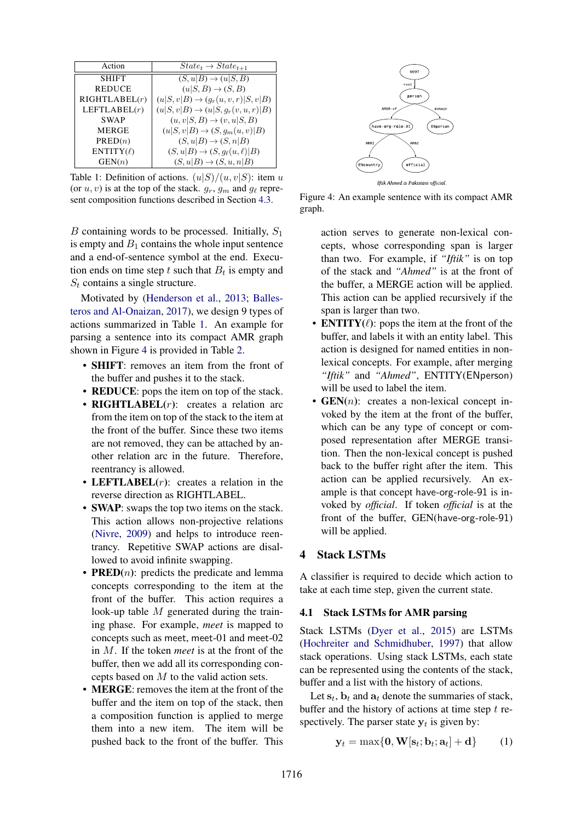| Action         |                                                 |
|----------------|-------------------------------------------------|
|                | $State_t \rightarrow State_{t+1}$               |
| <b>SHIFT</b>   | $(S, u B) \rightarrow (u S, B)$                 |
| <b>REDUCE</b>  | $(u S, B) \rightarrow (S, B)$                   |
| RIGHTLABEL(r)  | $(u S, v B) \rightarrow (g_r(u, v, r) S, v B)$  |
| LEFTLABEL(r)   | $(u S, v B) \rightarrow (u S, g_r(v, u, r) B)$  |
| <b>SWAP</b>    | $(u, v S, B) \rightarrow (v, u S, B)$           |
| <b>MERGE</b>   | $(u S,v B) \rightarrow (S, g_m(u,v) B)$         |
| PRED(n)        | $(S, u B) \rightarrow (S, n B)$                 |
| $ENTITY(\ell)$ | $(S, u B) \rightarrow (S, g_{\ell}(u, \ell) B)$ |
| GEN(n)         | $(S, u B) \rightarrow (S, u, n B)$              |

Table 1: Definition of actions.  $(u|S)/(u, v|S)$ : item *u* (or  $u, v$ ) is at the top of the stack.  $g_r, g_m$  and  $g_\ell$  represent composition functions described in Section [4.3.](#page-5-0)

*B* containing words to be processed. Initially, *S*<sup>1</sup> is empty and  $B_1$  contains the whole input sentence and a end-of-sentence symbol at the end. Execution ends on time step  $t$  such that  $B_t$  is empty and *S<sup>t</sup>* contains a single structure.

Motivated by [\(Henderson et al.,](#page-9-16) [2013;](#page-9-16) [Balles](#page-9-4)[teros and Al-Onaizan,](#page-9-4) [2017\)](#page-9-4), we design 9 types of actions summarized in Table [1.](#page-4-0) An example for parsing a sentence into its compact AMR graph shown in Figure [4](#page-4-1) is provided in Table [2.](#page-5-1)

- SHIFT: removes an item from the front of the buffer and pushes it to the stack.
- **REDUCE**: pops the item on top of the stack.
- **RIGHTLABEL**(*r*): creates a relation arc from the item on top of the stack to the item at the front of the buffer. Since these two items are not removed, they can be attached by another relation arc in the future. Therefore, reentrancy is allowed.
- LEFTLABEL(*r*): creates a relation in the reverse direction as RIGHTLABEL.
- **SWAP**: swaps the top two items on the stack. This action allows non-projective relations [\(Nivre,](#page-10-24) [2009\)](#page-10-24) and helps to introduce reentrancy. Repetitive SWAP actions are disallowed to avoid infinite swapping.
- **PRED** $(n)$ : predicts the predicate and lemma concepts corresponding to the item at the front of the buffer. This action requires a look-up table *M* generated during the training phase. For example, *meet* is mapped to concepts such as meet, meet-01 and meet-02 in *M*. If the token *meet* is at the front of the buffer, then we add all its corresponding concepts based on *M* to the valid action sets.
- MERGE: removes the item at the front of the buffer and the item on top of the stack, then a composition function is applied to merge them into a new item. The item will be pushed back to the front of the buffer. This

<span id="page-4-0"></span>

Figure 4: An example sentence with its compact AMR graph.

- <span id="page-4-1"></span>action serves to generate non-lexical concepts, whose corresponding span is larger than two. For example, if *"Iftik"* is on top of the stack and *"Ahmed"* is at the front of the buffer, a MERGE action will be applied. This action can be applied recursively if the span is larger than two.
- **ENTITY** $(\ell)$ : pops the item at the front of the buffer, and labels it with an entity label. This action is designed for named entities in nonlexical concepts. For example, after merging *"Iftik"* and *"Ahmed"*, ENTITY(ENperson) will be used to label the item.
- **GEN**(*n*): creates a non-lexical concept invoked by the item at the front of the buffer, which can be any type of concept or composed representation after MERGE transition. Then the non-lexical concept is pushed back to the buffer right after the item. This action can be applied recursively. An example is that concept have-org-role-91 is invoked by *official*. If token *official* is at the front of the buffer, GEN(have-org-role-91) will be applied.

## 4 Stack LSTMs

A classifier is required to decide which action to take at each time step, given the current state.

### 4.1 Stack LSTMs for AMR parsing

Stack LSTMs [\(Dyer et al.,](#page-9-17) [2015\)](#page-9-17) are LSTMs [\(Hochreiter and Schmidhuber,](#page-9-18) [1997\)](#page-9-18) that allow stack operations. Using stack LSTMs, each state can be represented using the contents of the stack, buffer and a list with the history of actions.

Let  $s_t$ ,  $b_t$  and  $a_t$  denote the summaries of stack, buffer and the history of actions at time step *t* respectively. The parser state  $y_t$  is given by:

$$
\mathbf{y}_t = \max\{\mathbf{0}, \mathbf{W}[\mathbf{s}_t; \mathbf{b}_t; \mathbf{a}_t] + \mathbf{d}\}\qquad(1)
$$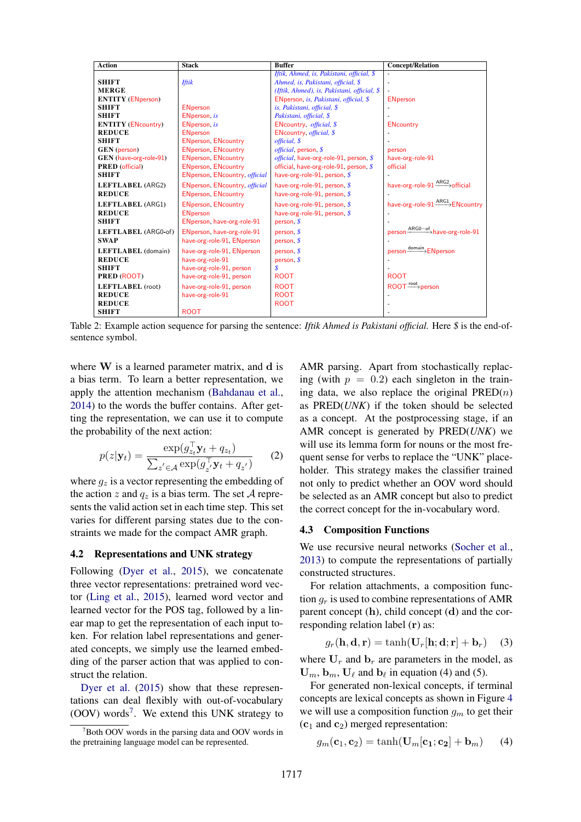| <b>Action</b>             | <b>Stack</b>                  | <b>Buffer</b>                                   | <b>Concept/Relation</b>                    |
|---------------------------|-------------------------------|-------------------------------------------------|--------------------------------------------|
|                           |                               | Iftik, Ahmed, is, Pakistani, official, \$       |                                            |
| <b>SHIFT</b>              | <b>Iftik</b>                  | Ahmed, is, Pakistani, official, \$              |                                            |
| <b>MERGE</b>              |                               | (Iftik, Ahmed), is, Pakistani, official, \$     |                                            |
| <b>ENTITY</b> (ENperson)  |                               | ENperson, is, Pakistani, official, \$           | <b>ENperson</b>                            |
| <b>SHIFT</b>              | <b>ENperson</b>               | is, Pakistani, official, \$                     |                                            |
| <b>SHIFT</b>              | ENperson, is                  | Pakistani, official, \$                         |                                            |
| <b>ENTITY</b> (ENcountry) | ENperson, is                  | ENcountry, official, \$                         | <b>ENcountry</b>                           |
| <b>REDUCE</b>             | <b>ENperson</b>               | ENcountry, <i>official</i> , \$                 |                                            |
| <b>SHIFT</b>              | <b>ENperson, ENcountry</b>    | official, \$                                    |                                            |
| <b>GEN</b> (person)       | <b>ENperson, ENcountry</b>    | official, person, \$                            | person                                     |
| GEN (have-org-role-91)    | <b>ENperson, ENcountry</b>    | <i>official</i> , have-org-role-91, person, $\$ | have-org-role-91                           |
| <b>PRED</b> (official)    | <b>ENperson, ENcountry</b>    | official, have-org-role-91, person, $\sqrt{s}$  | official                                   |
| <b>SHIFT</b>              | ENperson, ENcountry, official | have-org-role-91, person, \$                    |                                            |
| LEFTLABEL (ARG2)          | ENperson, ENcountry, official | have-org-role-91, person, $\oint$               | have-org-role-91 <sup>ARG2</sup> >official |
| <b>REDUCE</b>             | <b>ENperson, ENcountry</b>    | have-org-role-91, person, $\oint$               |                                            |
| LEFTLABEL (ARG1)          | <b>ENperson, ENcountry</b>    | have-org-role-91, person, $\oint$               | have-org-role-91 ARG1 ENcountry            |
| <b>REDUCE</b>             | <b>ENperson</b>               | have-org-role-91, person, $$$                   |                                            |
| <b>SHIFT</b>              | ENperson, have-org-role-91    | person, $\oint$                                 |                                            |
| LEFTLABEL (ARG0-of)       | ENperson, have-org-role-91    | person, $\oint$                                 | person <sup>ARG0-of</sup> have-org-role-91 |
| <b>SWAP</b>               | have-org-role-91, ENperson    | person, $\mathcal S$                            |                                            |
| LEFTLABEL (domain)        | have-org-role-91, ENperson    | person, $\oint$                                 | person <sup>domain</sup> >ENperson         |
| <b>REDUCE</b>             | have-org-role-91              | person, $\mathcal S$                            |                                            |
| <b>SHIFT</b>              | have-org-role-91, person      | \$                                              |                                            |
| PRED (ROOT)               | have-org-role-91, person      | <b>ROOT</b>                                     | <b>ROOT</b>                                |
| LEFTLABEL (root)          | have-org-role-91, person      | <b>ROOT</b>                                     | $ROOT \xrightarrow{root} person$           |
| <b>REDUCE</b>             | have-org-role-91              | <b>ROOT</b>                                     |                                            |
| <b>REDUCE</b>             |                               | <b>ROOT</b>                                     |                                            |
| <b>SHIFT</b>              | <b>ROOT</b>                   |                                                 |                                            |

Table 2: Example action sequence for parsing the sentence: *Iftik Ahmed is Pakistani official.* Here *\$* is the end-ofsentence symbol.

where W is a learned parameter matrix, and d is a bias term. To learn a better representation, we apply the attention mechanism [\(Bahdanau et al.,](#page-9-19) [2014\)](#page-9-19) to the words the buffer contains. After getting the representation, we can use it to compute the probability of the next action:

$$
p(z|\mathbf{y}_t) = \frac{\exp(g_{z_t}^\top \mathbf{y}_t + q_{z_t})}{\sum_{z' \in \mathcal{A}} \exp(g_{z'}^\top \mathbf{y}_t + q_{z'})}
$$
 (2)

where  $g_z$  is a vector representing the embedding of the action *z* and  $q_z$  is a bias term. The set *A* represents the valid action set in each time step. This set varies for different parsing states due to the constraints we made for the compact AMR graph.

#### 4.2 Representations and UNK strategy

Following [\(Dyer et al.,](#page-9-17) [2015\)](#page-9-17), we concatenate three vector representations: pretrained word vector [\(Ling et al.,](#page-9-20) [2015\)](#page-9-20), learned word vector and learned vector for the POS tag, followed by a linear map to get the representation of each input token. For relation label representations and generated concepts, we simply use the learned embedding of the parser action that was applied to construct the relation.

[Dyer et al.](#page-9-17) [\(2015\)](#page-9-17) show that these representations can deal flexibly with out-of-vocabulary  $(OOV)$  words<sup>7</sup>. We extend this UNK strategy to

<span id="page-5-1"></span>AMR parsing. Apart from stochastically replacing (with  $p = 0.2$ ) each singleton in the training data, we also replace the original PRED(*n*) as PRED(*UNK*) if the token should be selected as a concept. At the postprocessing stage, if an AMR concept is generated by PRED(*UNK*) we will use its lemma form for nouns or the most frequent sense for verbs to replace the "UNK" placeholder. This strategy makes the classifier trained not only to predict whether an OOV word should be selected as an AMR concept but also to predict the correct concept for the in-vocabulary word.

#### <span id="page-5-0"></span>4.3 Composition Functions

We use recursive neural networks [\(Socher et al.,](#page-10-25) [2013\)](#page-10-25) to compute the representations of partially constructed structures.

For relation attachments, a composition function  $q_r$  is used to combine representations of AMR parent concept (h), child concept (d) and the corresponding relation label (r) as:

$$
g_r(\mathbf{h}, \mathbf{d}, \mathbf{r}) = \tanh(\mathbf{U}_r[\mathbf{h}; \mathbf{d}; \mathbf{r}] + \mathbf{b}_r) \quad (3)
$$

where  $U_r$  and  $b_r$  are parameters in the model, as  $\mathbf{U}_m$ ,  $\mathbf{b}_m$ ,  $\mathbf{U}_\ell$  and  $\mathbf{b}_\ell$  in equation (4) and (5).

For generated non-lexical concepts, if terminal concepts are lexical concepts as shown in Figure [4](#page-4-1) we will use a composition function  $q_m$  to get their  $(c_1 \text{ and } c_2)$  merged representation:

$$
g_m(\mathbf{c}_1, \mathbf{c}_2) = \tanh(\mathbf{U}_m[\mathbf{c}_1; \mathbf{c}_2] + \mathbf{b}_m) \qquad (4)
$$

<span id="page-5-2"></span><sup>7</sup> Both OOV words in the parsing data and OOV words in the pretraining language model can be represented.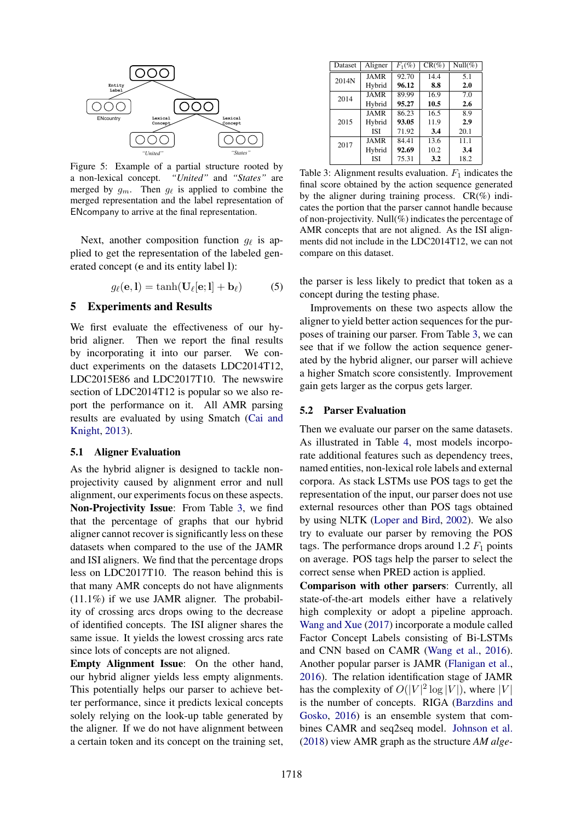

Figure 5: Example of a partial structure rooted by a non-lexical concept. *"United"* and *"States"* are merged by  $g_m$ . Then  $g_\ell$  is applied to combine the merged representation and the label representation of ENcompany to arrive at the final representation.

Next, another composition function  $g_{\ell}$  is applied to get the representation of the labeled generated concept (e and its entity label l):

$$
g_{\ell}(\mathbf{e}, \mathbf{l}) = \tanh(\mathbf{U}_{\ell}[\mathbf{e}; \mathbf{l}] + \mathbf{b}_{\ell}) \tag{5}
$$

### 5 Experiments and Results

We first evaluate the effectiveness of our hybrid aligner. Then we report the final results by incorporating it into our parser. We conduct experiments on the datasets LDC2014T12, LDC2015E86 and LDC2017T10. The newswire section of LDC2014T12 is popular so we also report the performance on it. All AMR parsing results are evaluated by using Smatch [\(Cai and](#page-9-21) [Knight,](#page-9-21) [2013\)](#page-9-21).

#### 5.1 Aligner Evaluation

As the hybrid aligner is designed to tackle nonprojectivity caused by alignment error and null alignment, our experiments focus on these aspects. Non-Projectivity Issue: From Table [3,](#page-6-0) we find that the percentage of graphs that our hybrid aligner cannot recover is significantly less on these datasets when compared to the use of the JAMR and ISI aligners. We find that the percentage drops less on LDC2017T10. The reason behind this is that many AMR concepts do not have alignments (11.1%) if we use JAMR aligner. The probability of crossing arcs drops owing to the decrease of identified concepts. The ISI aligner shares the same issue. It yields the lowest crossing arcs rate since lots of concepts are not aligned.

Empty Alignment Issue: On the other hand, our hybrid aligner yields less empty alignments. This potentially helps our parser to achieve better performance, since it predicts lexical concepts solely relying on the look-up table generated by the aligner. If we do not have alignment between a certain token and its concept on the training set,

<span id="page-6-0"></span>

| Dataset | Aligner     | $F_1(\%)$ | $CR(\%)$ | Null $(\%)$ |
|---------|-------------|-----------|----------|-------------|
| 2014N   | <b>JAMR</b> | 92.70     | 14.4     | 5.1         |
|         | Hybrid      | 96.12     | 8.8      | 2.0         |
| 2014    | <b>JAMR</b> | 89.99     | 16.9     | 7.0         |
|         | Hybrid      | 95.27     | 10.5     | 2.6         |
| 2015    | JAMR        | 86.23     | 16.5     | 8.9         |
|         | Hybrid      | 93.05     | 11.9     | 2.9         |
|         | <b>ISI</b>  | 71.92     | 3.4      | 20.1        |
| 2017    | JAMR        | 84.41     | 13.6     | 11.1        |
|         | Hybrid      | 92.69     | 10.2     | 3.4         |
|         | <b>ISI</b>  | 75.31     | 3.2      | 18.2        |

Table 3: Alignment results evaluation.  $F_1$  indicates the final score obtained by the action sequence generated by the aligner during training process.  $CR(\%)$  indicates the portion that the parser cannot handle because of non-projectivity. Null(%) indicates the percentage of AMR concepts that are not aligned. As the ISI alignments did not include in the LDC2014T12, we can not compare on this dataset.

the parser is less likely to predict that token as a concept during the testing phase.

Improvements on these two aspects allow the aligner to yield better action sequences for the purposes of training our parser. From Table [3,](#page-6-0) we can see that if we follow the action sequence generated by the hybrid aligner, our parser will achieve a higher Smatch score consistently. Improvement gain gets larger as the corpus gets larger.

#### 5.2 Parser Evaluation

Then we evaluate our parser on the same datasets. As illustrated in Table [4,](#page-7-0) most models incorporate additional features such as dependency trees, named entities, non-lexical role labels and external corpora. As stack LSTMs use POS tags to get the representation of the input, our parser does not use external resources other than POS tags obtained by using NLTK [\(Loper and Bird,](#page-9-22) [2002\)](#page-9-22). We also try to evaluate our parser by removing the POS tags. The performance drops around  $1.2 F<sub>1</sub>$  points on average. POS tags help the parser to select the correct sense when PRED action is applied.

Comparison with other parsers: Currently, all state-of-the-art models either have a relatively high complexity or adopt a pipeline approach. [Wang and Xue](#page-10-1) [\(2017\)](#page-10-1) incorporate a module called Factor Concept Labels consisting of Bi-LSTMs and CNN based on CAMR [\(Wang et al.,](#page-10-26) [2016\)](#page-10-26). Another popular parser is JAMR [\(Flanigan et al.,](#page-9-1) [2016\)](#page-9-1). The relation identification stage of JAMR has the complexity of  $O(|V|^2 \log |V|)$ , where  $|V|$ is the number of concepts. RIGA [\(Barzdins and](#page-9-11) [Gosko,](#page-9-11) [2016\)](#page-9-11) is an ensemble system that combines CAMR and seq2seq model. [Johnson et al.](#page-9-23) [\(2018\)](#page-9-23) view AMR graph as the structure *AM alge-*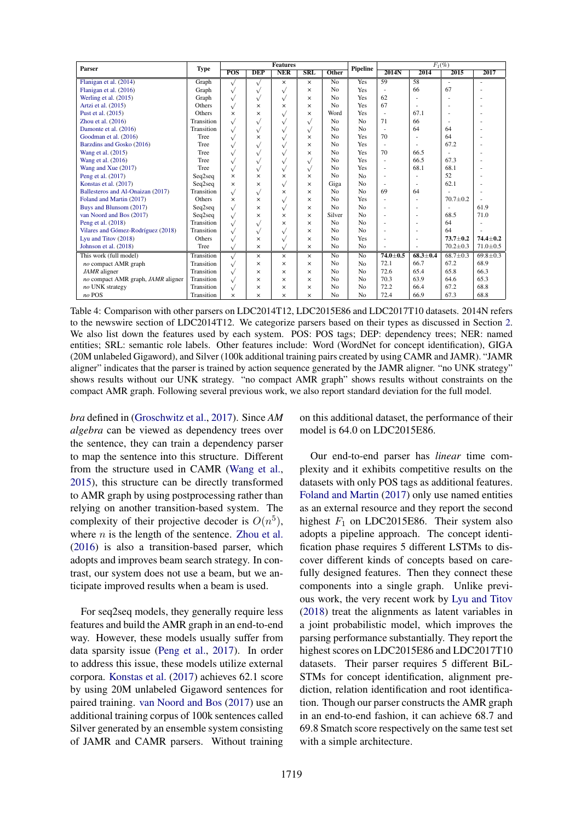| Parser                             | <b>Type</b> | <b>Features</b>  |            |              |                         | <b>Pipeline</b> | $F_1(\%)$      |                |                          |                |                |
|------------------------------------|-------------|------------------|------------|--------------|-------------------------|-----------------|----------------|----------------|--------------------------|----------------|----------------|
|                                    |             | $\overline{POS}$ | <b>DEP</b> | <b>NER</b>   | $\overline{\text{SRL}}$ | Other           |                | 2014N          | 2014                     | 2015           | 2017           |
| Flanigan et al. (2014)             | Graph       | $\sqrt{ }$       | $\sqrt{}$  | $\times$     | $\times$                | No              | Yes            | 59             | 58                       | ٠              | ä,             |
| Flanigan et al. (2016)             | Graph       | $\sqrt{}$        | $\sqrt{}$  | $\sqrt{}$    | $\times$                | No              | Yes            |                | 66                       | 67             |                |
| Werling et al. (2015)              | Graph       | $\sqrt{}$        | $\sqrt{}$  | $\sqrt{}$    | ×                       | No              | Yes            | 62             | ٠                        |                |                |
| Artzi et al. (2015)                | Others      | $\sqrt{}$        | $\times$   | $\times$     | ×                       | No              | Yes            | 67             |                          |                |                |
| Pust et al. (2015)                 | Others      | $\times$         | $\times$   | $\sqrt{}$    | ×                       | Word            | Yes            | ٠              | 67.1                     |                |                |
| Zhou et al. $(2016)$               | Transition  | $\sqrt{}$        | $\sqrt{}$  | $\checkmark$ | $\sqrt{}$               | No              | No             | 71             | 66                       |                |                |
| Damonte et al. (2016)              | Transition  | $\sqrt{}$        | $\sqrt{}$  | $\sqrt{}$    | $\sqrt{ }$              | No              | No             | ×              | 64                       | 64             |                |
| Goodman et al. (2016)              | Tree        | $\sqrt{}$        | $\times$   | $\sqrt{}$    | $\times$                | No              | Yes            | 70             |                          | 64             |                |
| Barzdins and Gosko (2016)          | Tree        | $\sqrt{}$        | $\sqrt{}$  | V            | $\times$                | No              | Yes            |                |                          | 67.2           |                |
| Wang et al. (2015)                 | Tree        | $\sqrt{}$        | $\sqrt{}$  | $\sqrt{}$    | ×                       | No              | Yes            | 70             | 66.5                     | $\mathbf{r}$   |                |
| Wang et al. (2016)                 | Tree        | $\sqrt{}$        | $\sqrt{}$  | $\sqrt{}$    | $\sqrt{ }$              | No              | Yes            |                | 66.5                     | 67.3           |                |
| Wang and Xue (2017)                | Tree        | $\sqrt{}$        | $\sqrt{}$  | $\sqrt{}$    | $\sqrt{ }$              | No              | Yes            | ٠              | 68.1                     | 68.1           |                |
| Peng et al. (2017)                 | Seq2seq     | $\times$         | $\times$   | $\times$     | ×                       | No              | No             | ٠              | ٠                        | 52             |                |
| Konstas et al. (2017)              | Seq2seq     | $\times$         | $\times$   | $\sqrt{}$    | ×                       | Giga            | No             | ٠              | ٠                        | 62.1           |                |
| Ballesteros and Al-Onaizan (2017)  | Transition  | $\sqrt{}$        | $\sqrt{}$  | $\times$     | $\times$                | No              | No             | 69             | 64                       |                |                |
| Foland and Martin (2017)           | Others      | $\times$         | $\times$   | $\sqrt{}$    | $\times$                | No              | Yes            |                | $\overline{\phantom{a}}$ | $70.7 \pm 0.2$ |                |
| Buys and Blunsom (2017)            | Seq2seq     | $\sqrt{}$        | $\times$   | $\sqrt{}$    | ×                       | No              | No             | ×              |                          | $\mathbf{r}$   | 61.9           |
| van Noord and Bos (2017)           | Seq2seq     | $\sqrt{ }$       | $\times$   | $\times$     | ×                       | Silver          | No             |                | ٠                        | 68.5           | 71.0           |
| Peng et al. (2018)                 | Transition  | $\sqrt{}$        | $\sqrt{}$  | $\times$     | ×                       | No              | No             |                | ٠                        | 64             |                |
| Vilares and Gómez-Rodríguez (2018) | Transition  | $\sqrt{}$        | $\sqrt{}$  | $\sqrt{}$    | $\times$                | No              | No             |                |                          | 64             |                |
| Lyu and Titov (2018)               | Others      | $\sqrt{}$        | $\times$   | $\sqrt{}$    | ×                       | No              | Yes            |                | ٠                        | $73.7 \pm 0.2$ | $74.4 \pm 0.2$ |
| Johnson et al. (2018)              | Tree        | $\sqrt{ }$       | $\times$   | $\sqrt{}$    | $\times$                | No              | No             |                | ×                        | $70.2 \pm 0.3$ | $71.0 \pm 0.5$ |
| This work (full model)             | Transition  | $\sqrt{}$        | $\times$   | $\times$     | $\times$                | No              | N <sub>0</sub> | $74.0 \pm 0.5$ | $68.3 \pm 0.4$           | $68.7 \pm 0.3$ | $69.8 \pm 0.3$ |
| no compact AMR graph               | Transition  | $\sqrt{ }$       | $\times$   | $\times$     | $\times$                | No              | No             | 72.1           | 66.7                     | 67.2           | 68.9           |
| JAMR aligner                       | Transition  | $\sqrt{}$        | $\times$   | $\times$     | ×                       | No              | No             | 72.6           | 65.4                     | 65.8           | 66.3           |
| no compact AMR graph, JAMR aligner | Transition  | $\sqrt{}$        | $\times$   | $\times$     | ×                       | No              | No             | 70.3           | 63.9                     | 64.6           | 65.3           |
| no UNK strategy                    | Transition  | $\sqrt{}$        | $\times$   | $\times$     | ×                       | No              | No             | 72.2           | 66.4                     | 67.2           | 68.8           |
| no POS                             | Transition  | $\times$         | $\times$   | $\times$     | ×                       | No              | No             | 72.4           | 66.9                     | 67.3           | 68.8           |

Table 4: Comparison with other parsers on LDC2014T12, LDC2015E86 and LDC2017T10 datasets. 2014N refers to the newswire section of LDC2014T12. We categorize parsers based on their types as discussed in Section [2.](#page-1-1) We also list down the features used by each system. POS: POS tags; DEP: dependency trees; NER: named entities; SRL: semantic role labels. Other features include: Word (WordNet for concept identification), GIGA (20M unlabeled Gigaword), and Silver (100k additional training pairs created by using CAMR and JAMR). "JAMR aligner" indicates that the parser is trained by action sequence generated by the JAMR aligner. "no UNK strategy" shows results without our UNK strategy. "no compact AMR graph" shows results without constraints on the compact AMR graph. Following several previous work, we also report standard deviation for the full model.

*bra* defined in [\(Groschwitz et al.,](#page-9-27) [2017\)](#page-9-27). Since *AM algebra* can be viewed as dependency trees over the sentence, they can train a dependency parser to map the sentence into this structure. Different from the structure used in CAMR [\(Wang et al.,](#page-10-12) [2015\)](#page-10-12), this structure can be directly transformed to AMR graph by using postprocessing rather than relying on another transition-based system. The complexity of their projective decoder is  $O(n^5)$ , where *n* is the length of the sentence. [Zhou et al.](#page-10-17) [\(2016\)](#page-10-17) is also a transition-based parser, which adopts and improves beam search strategy. In contrast, our system does not use a beam, but we anticipate improved results when a beam is used.

For seq2seq models, they generally require less features and build the AMR graph in an end-to-end way. However, these models usually suffer from data sparsity issue [\(Peng et al.,](#page-10-0) [2017\)](#page-10-0). In order to address this issue, these models utilize external corpora. [Konstas et al.](#page-9-12) [\(2017\)](#page-9-12) achieves 62.1 score by using 20M unlabeled Gigaword sentences for paired training. [van Noord and Bos](#page-10-2) [\(2017\)](#page-10-2) use an additional training corpus of 100k sentences called Silver generated by an ensemble system consisting of JAMR and CAMR parsers. Without training <span id="page-7-0"></span>on this additional dataset, the performance of their model is 64.0 on LDC2015E86.

Our end-to-end parser has *linear* time complexity and it exhibits competitive results on the datasets with only POS tags as additional features. [Foland and Martin](#page-9-2) [\(2017\)](#page-9-2) only use named entities as an external resource and they report the second highest  $F_1$  on LDC2015E86. Their system also adopts a pipeline approach. The concept identification phase requires 5 different LSTMs to discover different kinds of concepts based on carefully designed features. Then they connect these components into a single graph. Unlike previous work, the very recent work by [Lyu and Titov](#page-9-26) [\(2018\)](#page-9-26) treat the alignments as latent variables in a joint probabilistic model, which improves the parsing performance substantially. They report the highest scores on LDC2015E86 and LDC2017T10 datasets. Their parser requires 5 different BiL-STMs for concept identification, alignment prediction, relation identification and root identification. Though our parser constructs the AMR graph in an end-to-end fashion, it can achieve 68.7 and 69.8 Smatch score respectively on the same test set with a simple architecture.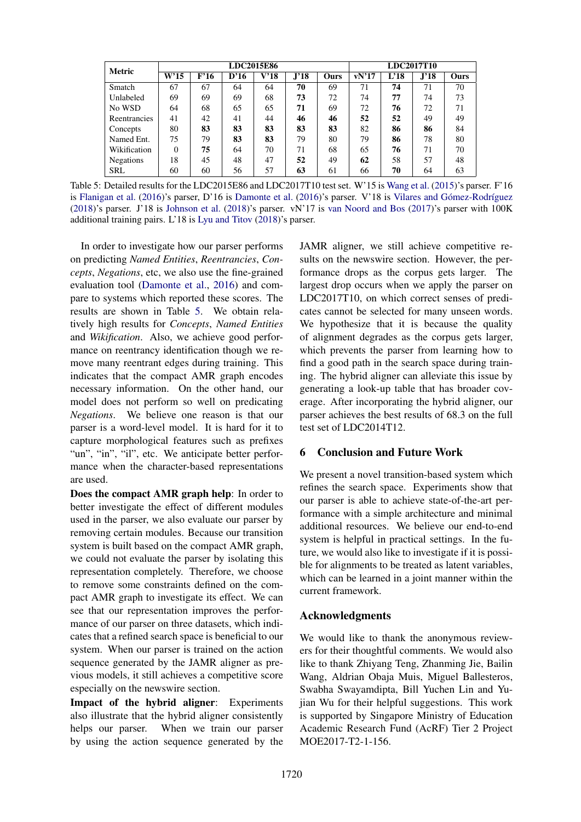| <b>Metric</b>    | LDC2015E86 |      |      |      |      |      |       | <b>LDC2017T10</b> |      |      |  |
|------------------|------------|------|------|------|------|------|-------|-------------------|------|------|--|
|                  | W'15       | F'16 | D'16 | V'18 | J'18 | Ours | vN'17 | L'18              | J'18 | Ours |  |
| Smatch           | 67         | 67   | 64   | 64   | 70   | 69   | 71    | 74                | 71   | 70   |  |
| Unlabeled        | 69         | 69   | 69   | 68   | 73   | 72   | 74    | 77                | 74   | 73   |  |
| No WSD           | 64         | 68   | 65   | 65   | 71   | 69   | 72    | 76                | 72   | 71   |  |
| Reentrancies     | 41         | 42   | 41   | 44   | 46   | 46   | 52    | 52                | 49   | 49   |  |
| Concepts         | 80         | 83   | 83   | 83   | 83   | 83   | 82    | 86                | 86   | 84   |  |
| Named Ent.       | 75         | 79   | 83   | 83   | 79   | 80   | 79    | 86                | 78   | 80   |  |
| Wikification     | $\Omega$   | 75   | 64   | 70   | 71   | 68   | 65    | 76                | 71   | 70   |  |
| <b>Negations</b> | 18         | 45   | 48   | 47   | 52   | 49   | 62    | 58                | 57   | 48   |  |
| <b>SRL</b>       | 60         | 60   | 56   | 57   | 63   | 61   | 66    | 70                | 64   | 63   |  |

Table 5: Detailed results for the LDC2015E86 and LDC2017T10 test set. W'15 is [Wang et al.](#page-10-12) [\(2015\)](#page-10-12)'s parser. F'16 is [Flanigan et al.](#page-9-1)  $(2016)$ 's parser, D'16 is [Damonte et al.](#page-9-3)  $(2016)$ 's parser. V'18 is Vilares and Gómez-Rodríguez [\(2018\)](#page-10-27)'s parser. J'18 is [Johnson et al.](#page-9-23) [\(2018\)](#page-9-23)'s parser. vN'17 is [van Noord and Bos](#page-10-2) [\(2017\)](#page-10-2)'s parser with 100K additional training pairs. L'18 is [Lyu and Titov](#page-9-26) [\(2018\)](#page-9-26)'s parser.

In order to investigate how our parser performs on predicting *Named Entities*, *Reentrancies*, *Concepts*, *Negations*, etc, we also use the fine-grained evaluation tool [\(Damonte et al.,](#page-9-3) [2016\)](#page-9-3) and compare to systems which reported these scores. The results are shown in Table [5.](#page-8-0) We obtain relatively high results for *Concepts*, *Named Entities* and *Wikification*. Also, we achieve good performance on reentrancy identification though we remove many reentrant edges during training. This indicates that the compact AMR graph encodes necessary information. On the other hand, our model does not perform so well on predicating *Negations*. We believe one reason is that our parser is a word-level model. It is hard for it to capture morphological features such as prefixes "un", "in", "il", etc. We anticipate better performance when the character-based representations are used.

Does the compact AMR graph help: In order to better investigate the effect of different modules used in the parser, we also evaluate our parser by removing certain modules. Because our transition system is built based on the compact AMR graph, we could not evaluate the parser by isolating this representation completely. Therefore, we choose to remove some constraints defined on the compact AMR graph to investigate its effect. We can see that our representation improves the performance of our parser on three datasets, which indicates that a refined search space is beneficial to our system. When our parser is trained on the action sequence generated by the JAMR aligner as previous models, it still achieves a competitive score especially on the newswire section.

Impact of the hybrid aligner: Experiments also illustrate that the hybrid aligner consistently helps our parser. When we train our parser by using the action sequence generated by the

<span id="page-8-0"></span>JAMR aligner, we still achieve competitive results on the newswire section. However, the performance drops as the corpus gets larger. The largest drop occurs when we apply the parser on LDC2017T10, on which correct senses of predicates cannot be selected for many unseen words. We hypothesize that it is because the quality of alignment degrades as the corpus gets larger, which prevents the parser from learning how to find a good path in the search space during training. The hybrid aligner can alleviate this issue by generating a look-up table that has broader coverage. After incorporating the hybrid aligner, our parser achieves the best results of 68.3 on the full test set of LDC2014T12.

# 6 Conclusion and Future Work

We present a novel transition-based system which refines the search space. Experiments show that our parser is able to achieve state-of-the-art performance with a simple architecture and minimal additional resources. We believe our end-to-end system is helpful in practical settings. In the future, we would also like to investigate if it is possible for alignments to be treated as latent variables, which can be learned in a joint manner within the current framework.

## Acknowledgments

We would like to thank the anonymous reviewers for their thoughtful comments. We would also like to thank Zhiyang Teng, Zhanming Jie, Bailin Wang, Aldrian Obaja Muis, Miguel Ballesteros, Swabha Swayamdipta, Bill Yuchen Lin and Yujian Wu for their helpful suggestions. This work is supported by Singapore Ministry of Education Academic Research Fund (AcRF) Tier 2 Project MOE2017-T2-1-156.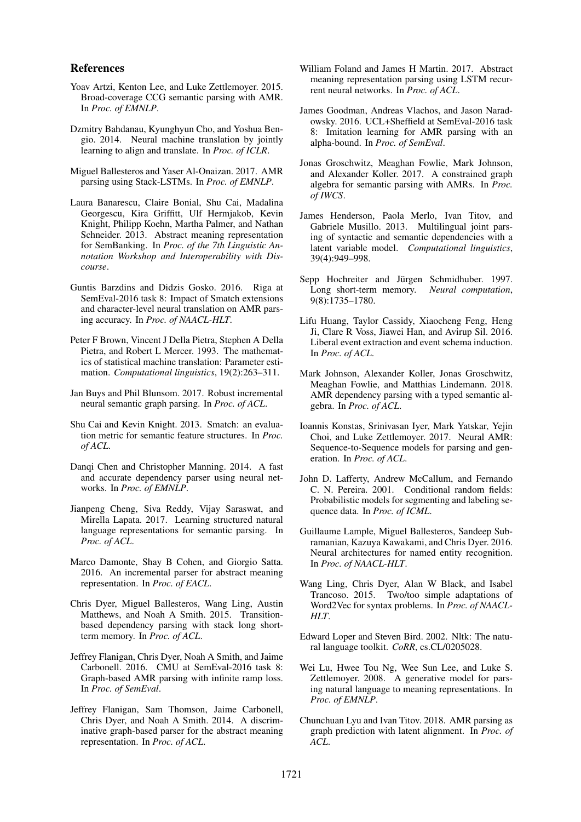#### References

- <span id="page-9-13"></span>Yoav Artzi, Kenton Lee, and Luke Zettlemoyer. 2015. Broad-coverage CCG semantic parsing with AMR. In *Proc. of EMNLP*.
- <span id="page-9-19"></span>Dzmitry Bahdanau, Kyunghyun Cho, and Yoshua Bengio. 2014. Neural machine translation by jointly learning to align and translate. In *Proc. of ICLR*.
- <span id="page-9-4"></span>Miguel Ballesteros and Yaser Al-Onaizan. 2017. AMR parsing using Stack-LSTMs. In *Proc. of EMNLP*.
- <span id="page-9-0"></span>Laura Banarescu, Claire Bonial, Shu Cai, Madalina Georgescu, Kira Griffitt, Ulf Hermjakob, Kevin Knight, Philipp Koehn, Martha Palmer, and Nathan Schneider. 2013. Abstract meaning representation for SemBanking. In *Proc. of the 7th Linguistic Annotation Workshop and Interoperability with Discourse*.
- <span id="page-9-11"></span>Guntis Barzdins and Didzis Gosko. 2016. Riga at SemEval-2016 task 8: Impact of Smatch extensions and character-level neural translation on AMR parsing accuracy. In *Proc. of NAACL-HLT*.
- <span id="page-9-15"></span>Peter F Brown, Vincent J Della Pietra, Stephen A Della Pietra, and Robert L Mercer. 1993. The mathematics of statistical machine translation: Parameter estimation. *Computational linguistics*, 19(2):263–311.
- <span id="page-9-25"></span>Jan Buys and Phil Blunsom. 2017. Robust incremental neural semantic graph parsing. In *Proc. of ACL*.
- <span id="page-9-21"></span>Shu Cai and Kevin Knight. 2013. Smatch: an evaluation metric for semantic feature structures. In *Proc. of ACL*.
- <span id="page-9-5"></span>Danqi Chen and Christopher Manning. 2014. A fast and accurate dependency parser using neural networks. In *Proc. of EMNLP*.
- <span id="page-9-7"></span>Jianpeng Cheng, Siva Reddy, Vijay Saraswat, and Mirella Lapata. 2017. Learning structured natural language representations for semantic parsing. In *Proc. of ACL*.
- <span id="page-9-3"></span>Marco Damonte, Shay B Cohen, and Giorgio Satta. 2016. An incremental parser for abstract meaning representation. In *Proc. of EACL*.
- <span id="page-9-17"></span>Chris Dyer, Miguel Ballesteros, Wang Ling, Austin Matthews, and Noah A Smith. 2015. Transitionbased dependency parsing with stack long shortterm memory. In *Proc. of ACL*.
- <span id="page-9-1"></span>Jeffrey Flanigan, Chris Dyer, Noah A Smith, and Jaime Carbonell. 2016. CMU at SemEval-2016 task 8: Graph-based AMR parsing with infinite ramp loss. In *Proc. of SemEval*.
- <span id="page-9-24"></span>Jeffrey Flanigan, Sam Thomson, Jaime Carbonell, Chris Dyer, and Noah A Smith. 2014. A discriminative graph-based parser for the abstract meaning representation. In *Proc. of ACL*.
- <span id="page-9-2"></span>William Foland and James H Martin. 2017. Abstract meaning representation parsing using LSTM recurrent neural networks. In *Proc. of ACL*.
- <span id="page-9-10"></span>James Goodman, Andreas Vlachos, and Jason Naradowsky. 2016. UCL+Sheffield at SemEval-2016 task 8: Imitation learning for AMR parsing with an alpha-bound. In *Proc. of SemEval*.
- <span id="page-9-27"></span>Jonas Groschwitz, Meaghan Fowlie, Mark Johnson, and Alexander Koller. 2017. A constrained graph algebra for semantic parsing with AMRs. In *Proc. of IWCS*.
- <span id="page-9-16"></span>James Henderson, Paola Merlo, Ivan Titov, and Gabriele Musillo. 2013. Multilingual joint parsing of syntactic and semantic dependencies with a latent variable model. *Computational linguistics*, 39(4):949–998.
- <span id="page-9-18"></span>Sepp Hochreiter and Jürgen Schmidhuber. 1997. Long short-term memory. *Neural computation*, 9(8):1735–1780.
- <span id="page-9-9"></span>Lifu Huang, Taylor Cassidy, Xiaocheng Feng, Heng Ji, Clare R Voss, Jiawei Han, and Avirup Sil. 2016. Liberal event extraction and event schema induction. In *Proc. of ACL*.
- <span id="page-9-23"></span>Mark Johnson, Alexander Koller, Jonas Groschwitz, Meaghan Fowlie, and Matthias Lindemann. 2018. AMR dependency parsing with a typed semantic algebra. In *Proc. of ACL*.
- <span id="page-9-12"></span>Ioannis Konstas, Srinivasan Iyer, Mark Yatskar, Yejin Choi, and Luke Zettlemoyer. 2017. Neural AMR: Sequence-to-Sequence models for parsing and generation. In *Proc. of ACL*.
- <span id="page-9-8"></span>John D. Lafferty, Andrew McCallum, and Fernando C. N. Pereira. 2001. Conditional random fields: Probabilistic models for segmenting and labeling sequence data. In *Proc. of ICML*.
- <span id="page-9-6"></span>Guillaume Lample, Miguel Ballesteros, Sandeep Subramanian, Kazuya Kawakami, and Chris Dyer. 2016. Neural architectures for named entity recognition. In *Proc. of NAACL-HLT*.
- <span id="page-9-20"></span>Wang Ling, Chris Dyer, Alan W Black, and Isabel Trancoso. 2015. Two/too simple adaptations of Word2Vec for syntax problems. In *Proc. of NAACL-HLT*.
- <span id="page-9-22"></span>Edward Loper and Steven Bird. 2002. Nltk: The natural language toolkit. *CoRR*, cs.CL/0205028.
- <span id="page-9-14"></span>Wei Lu, Hwee Tou Ng, Wee Sun Lee, and Luke S. Zettlemoyer. 2008. A generative model for parsing natural language to meaning representations. In *Proc. of EMNLP*.
- <span id="page-9-26"></span>Chunchuan Lyu and Ivan Titov. 2018. AMR parsing as graph prediction with latent alignment. In *Proc. of ACL*.